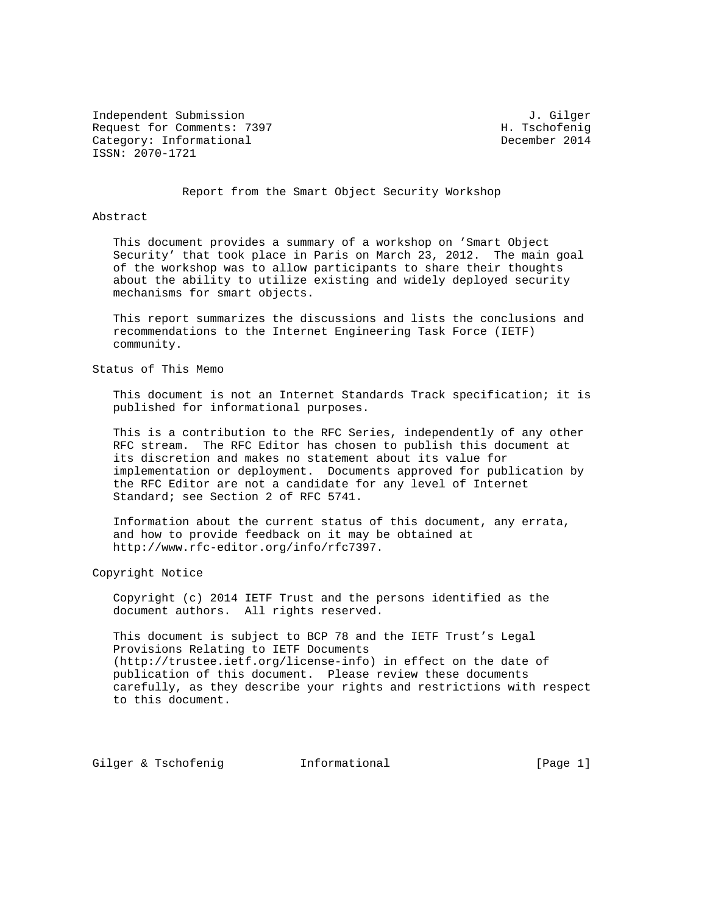Independent Submission J. Gilger Request for Comments: 7397 H. Tschofenig Category: Informational December 2014 ISSN: 2070-1721

Report from the Smart Object Security Workshop

### Abstract

 This document provides a summary of a workshop on 'Smart Object Security' that took place in Paris on March 23, 2012. The main goal of the workshop was to allow participants to share their thoughts about the ability to utilize existing and widely deployed security mechanisms for smart objects.

 This report summarizes the discussions and lists the conclusions and recommendations to the Internet Engineering Task Force (IETF) community.

Status of This Memo

 This document is not an Internet Standards Track specification; it is published for informational purposes.

 This is a contribution to the RFC Series, independently of any other RFC stream. The RFC Editor has chosen to publish this document at its discretion and makes no statement about its value for implementation or deployment. Documents approved for publication by the RFC Editor are not a candidate for any level of Internet Standard; see Section 2 of RFC 5741.

 Information about the current status of this document, any errata, and how to provide feedback on it may be obtained at http://www.rfc-editor.org/info/rfc7397.

Copyright Notice

 Copyright (c) 2014 IETF Trust and the persons identified as the document authors. All rights reserved.

 This document is subject to BCP 78 and the IETF Trust's Legal Provisions Relating to IETF Documents (http://trustee.ietf.org/license-info) in effect on the date of publication of this document. Please review these documents carefully, as they describe your rights and restrictions with respect to this document.

Gilger & Tschofenig and Informational (Page 1)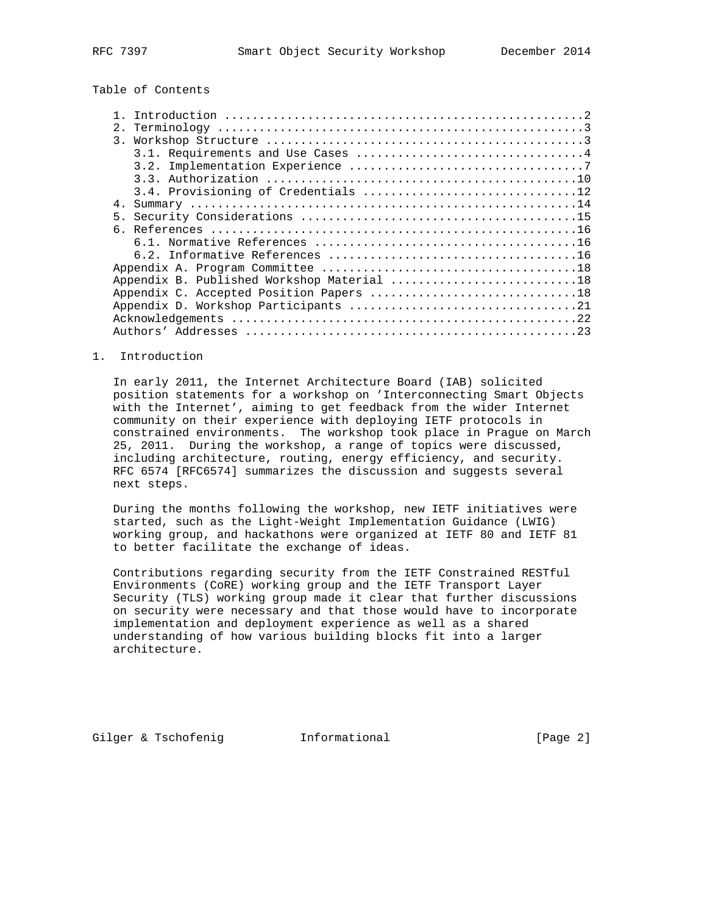Table of Contents

| 2.1              |                                            |
|------------------|--------------------------------------------|
| $\overline{3}$ . |                                            |
|                  |                                            |
|                  |                                            |
|                  |                                            |
|                  | 3.4. Provisioning of Credentials 12        |
| 4.               |                                            |
| 5.               |                                            |
|                  |                                            |
|                  |                                            |
|                  |                                            |
|                  |                                            |
|                  | Appendix B. Published Workshop Material 18 |
|                  | Appendix C. Accepted Position Papers 18    |
|                  |                                            |
|                  |                                            |
|                  |                                            |

#### 1. Introduction

 In early 2011, the Internet Architecture Board (IAB) solicited position statements for a workshop on 'Interconnecting Smart Objects with the Internet', aiming to get feedback from the wider Internet community on their experience with deploying IETF protocols in constrained environments. The workshop took place in Prague on March 25, 2011. During the workshop, a range of topics were discussed, including architecture, routing, energy efficiency, and security. RFC 6574 [RFC6574] summarizes the discussion and suggests several next steps.

 During the months following the workshop, new IETF initiatives were started, such as the Light-Weight Implementation Guidance (LWIG) working group, and hackathons were organized at IETF 80 and IETF 81 to better facilitate the exchange of ideas.

 Contributions regarding security from the IETF Constrained RESTful Environments (CoRE) working group and the IETF Transport Layer Security (TLS) working group made it clear that further discussions on security were necessary and that those would have to incorporate implementation and deployment experience as well as a shared understanding of how various building blocks fit into a larger architecture.

Gilger & Tschofenig **Informational** [Page 2]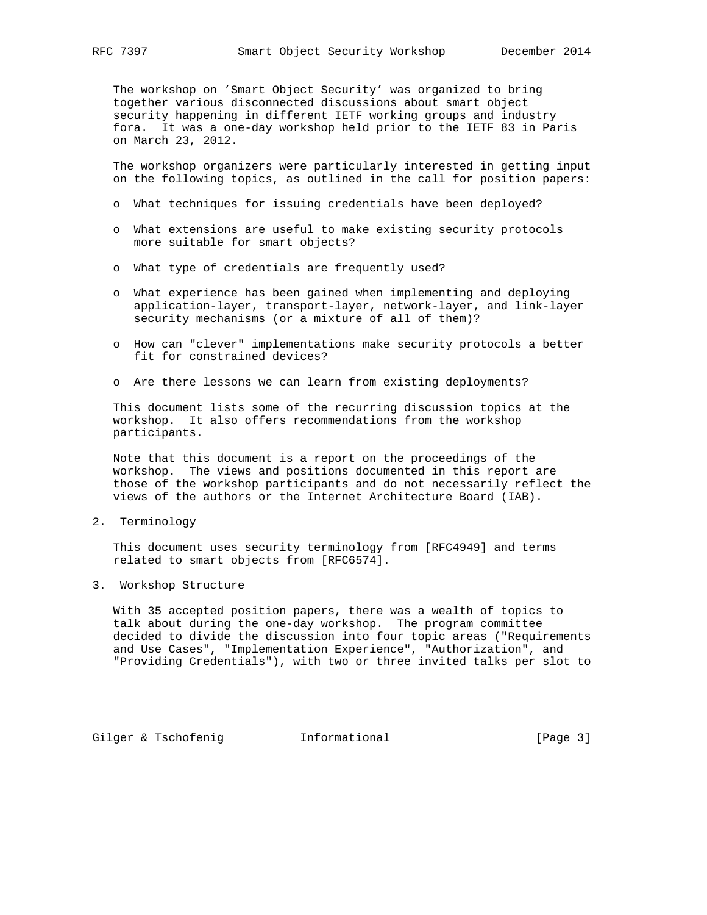The workshop on 'Smart Object Security' was organized to bring together various disconnected discussions about smart object security happening in different IETF working groups and industry fora. It was a one-day workshop held prior to the IETF 83 in Paris on March 23, 2012.

 The workshop organizers were particularly interested in getting input on the following topics, as outlined in the call for position papers:

- o What techniques for issuing credentials have been deployed?
- o What extensions are useful to make existing security protocols more suitable for smart objects?
- o What type of credentials are frequently used?
- o What experience has been gained when implementing and deploying application-layer, transport-layer, network-layer, and link-layer security mechanisms (or a mixture of all of them)?
- o How can "clever" implementations make security protocols a better fit for constrained devices?
- o Are there lessons we can learn from existing deployments?

 This document lists some of the recurring discussion topics at the workshop. It also offers recommendations from the workshop participants.

 Note that this document is a report on the proceedings of the workshop. The views and positions documented in this report are those of the workshop participants and do not necessarily reflect the views of the authors or the Internet Architecture Board (IAB).

2. Terminology

 This document uses security terminology from [RFC4949] and terms related to smart objects from [RFC6574].

3. Workshop Structure

 With 35 accepted position papers, there was a wealth of topics to talk about during the one-day workshop. The program committee decided to divide the discussion into four topic areas ("Requirements and Use Cases", "Implementation Experience", "Authorization", and "Providing Credentials"), with two or three invited talks per slot to

Gilger & Tschofenig **Informational** [Page 3]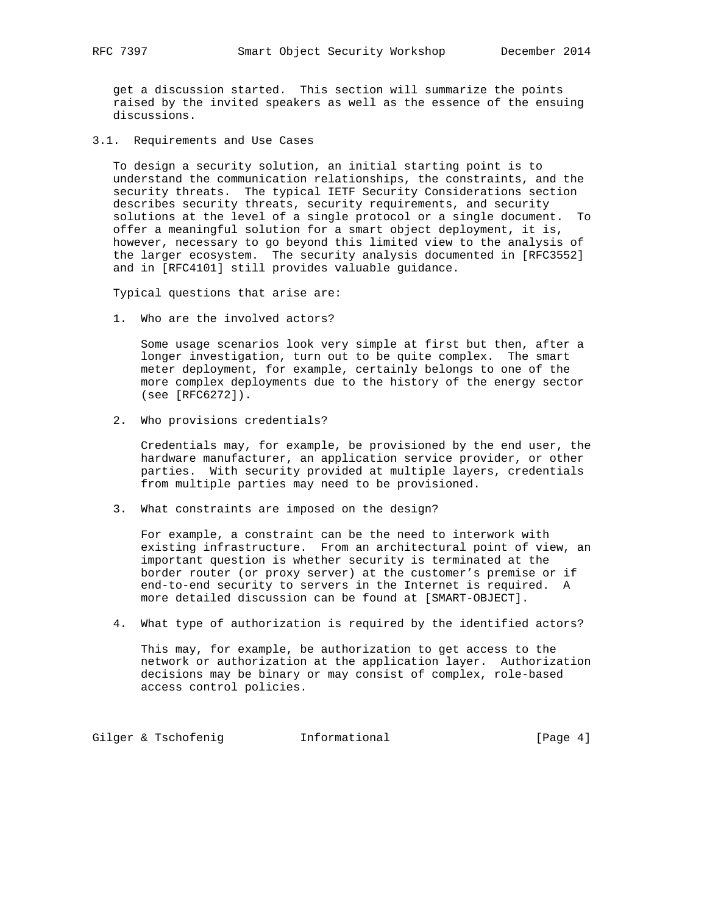get a discussion started. This section will summarize the points raised by the invited speakers as well as the essence of the ensuing discussions.

3.1. Requirements and Use Cases

 To design a security solution, an initial starting point is to understand the communication relationships, the constraints, and the security threats. The typical IETF Security Considerations section describes security threats, security requirements, and security solutions at the level of a single protocol or a single document. To offer a meaningful solution for a smart object deployment, it is, however, necessary to go beyond this limited view to the analysis of the larger ecosystem. The security analysis documented in [RFC3552] and in [RFC4101] still provides valuable guidance.

Typical questions that arise are:

1. Who are the involved actors?

 Some usage scenarios look very simple at first but then, after a longer investigation, turn out to be quite complex. The smart meter deployment, for example, certainly belongs to one of the more complex deployments due to the history of the energy sector (see [RFC6272]).

2. Who provisions credentials?

 Credentials may, for example, be provisioned by the end user, the hardware manufacturer, an application service provider, or other parties. With security provided at multiple layers, credentials from multiple parties may need to be provisioned.

3. What constraints are imposed on the design?

 For example, a constraint can be the need to interwork with existing infrastructure. From an architectural point of view, an important question is whether security is terminated at the border router (or proxy server) at the customer's premise or if end-to-end security to servers in the Internet is required. A more detailed discussion can be found at [SMART-OBJECT].

4. What type of authorization is required by the identified actors?

 This may, for example, be authorization to get access to the network or authorization at the application layer. Authorization decisions may be binary or may consist of complex, role-based access control policies.

Gilger & Tschofenig **Informational** [Page 4]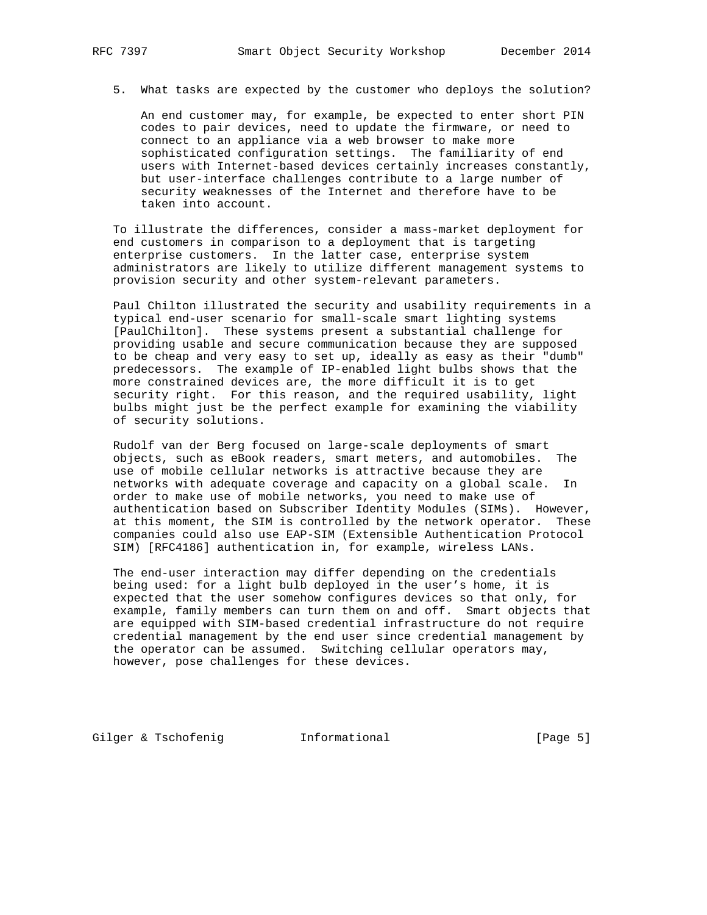5. What tasks are expected by the customer who deploys the solution?

 An end customer may, for example, be expected to enter short PIN codes to pair devices, need to update the firmware, or need to connect to an appliance via a web browser to make more sophisticated configuration settings. The familiarity of end users with Internet-based devices certainly increases constantly, but user-interface challenges contribute to a large number of security weaknesses of the Internet and therefore have to be taken into account.

 To illustrate the differences, consider a mass-market deployment for end customers in comparison to a deployment that is targeting enterprise customers. In the latter case, enterprise system administrators are likely to utilize different management systems to provision security and other system-relevant parameters.

 Paul Chilton illustrated the security and usability requirements in a typical end-user scenario for small-scale smart lighting systems [PaulChilton]. These systems present a substantial challenge for providing usable and secure communication because they are supposed to be cheap and very easy to set up, ideally as easy as their "dumb" predecessors. The example of IP-enabled light bulbs shows that the more constrained devices are, the more difficult it is to get security right. For this reason, and the required usability, light bulbs might just be the perfect example for examining the viability of security solutions.

 Rudolf van der Berg focused on large-scale deployments of smart objects, such as eBook readers, smart meters, and automobiles. The use of mobile cellular networks is attractive because they are networks with adequate coverage and capacity on a global scale. In order to make use of mobile networks, you need to make use of authentication based on Subscriber Identity Modules (SIMs). However, at this moment, the SIM is controlled by the network operator. These companies could also use EAP-SIM (Extensible Authentication Protocol SIM) [RFC4186] authentication in, for example, wireless LANs.

 The end-user interaction may differ depending on the credentials being used: for a light bulb deployed in the user's home, it is expected that the user somehow configures devices so that only, for example, family members can turn them on and off. Smart objects that are equipped with SIM-based credential infrastructure do not require credential management by the end user since credential management by the operator can be assumed. Switching cellular operators may, however, pose challenges for these devices.

Gilger & Tschofenig  $I_n$  Informational [Page 5]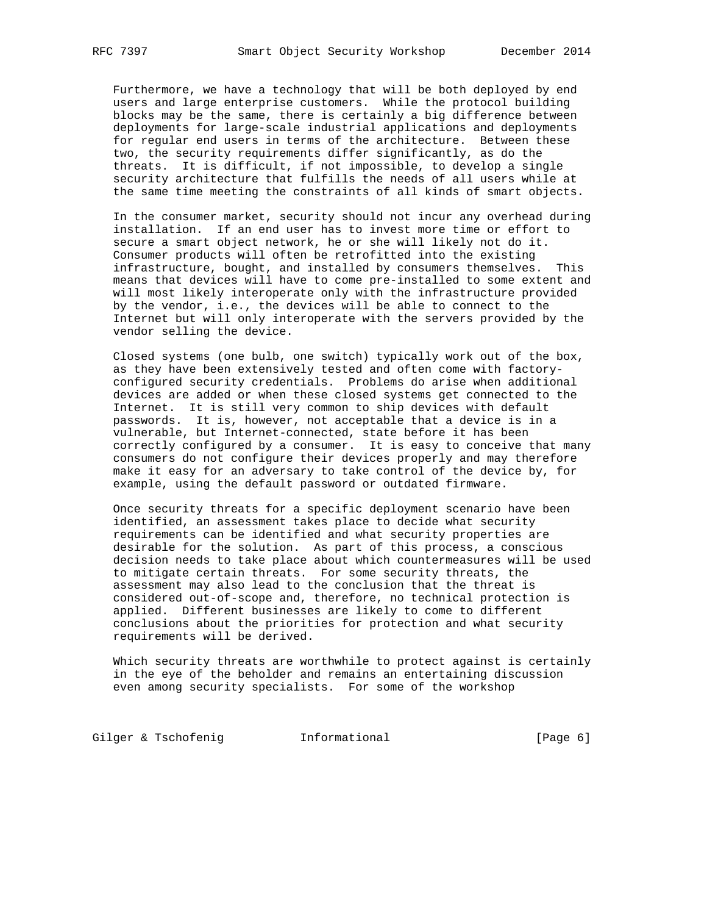Furthermore, we have a technology that will be both deployed by end users and large enterprise customers. While the protocol building blocks may be the same, there is certainly a big difference between deployments for large-scale industrial applications and deployments for regular end users in terms of the architecture. Between these two, the security requirements differ significantly, as do the threats. It is difficult, if not impossible, to develop a single security architecture that fulfills the needs of all users while at the same time meeting the constraints of all kinds of smart objects.

 In the consumer market, security should not incur any overhead during installation. If an end user has to invest more time or effort to secure a smart object network, he or she will likely not do it. Consumer products will often be retrofitted into the existing infrastructure, bought, and installed by consumers themselves. This means that devices will have to come pre-installed to some extent and will most likely interoperate only with the infrastructure provided by the vendor, i.e., the devices will be able to connect to the Internet but will only interoperate with the servers provided by the vendor selling the device.

 Closed systems (one bulb, one switch) typically work out of the box, as they have been extensively tested and often come with factory configured security credentials. Problems do arise when additional devices are added or when these closed systems get connected to the Internet. It is still very common to ship devices with default passwords. It is, however, not acceptable that a device is in a vulnerable, but Internet-connected, state before it has been correctly configured by a consumer. It is easy to conceive that many consumers do not configure their devices properly and may therefore make it easy for an adversary to take control of the device by, for example, using the default password or outdated firmware.

 Once security threats for a specific deployment scenario have been identified, an assessment takes place to decide what security requirements can be identified and what security properties are desirable for the solution. As part of this process, a conscious decision needs to take place about which countermeasures will be used to mitigate certain threats. For some security threats, the assessment may also lead to the conclusion that the threat is considered out-of-scope and, therefore, no technical protection is applied. Different businesses are likely to come to different conclusions about the priorities for protection and what security requirements will be derived.

 Which security threats are worthwhile to protect against is certainly in the eye of the beholder and remains an entertaining discussion even among security specialists. For some of the workshop

Gilger & Tschofenig **Informational** [Page 6]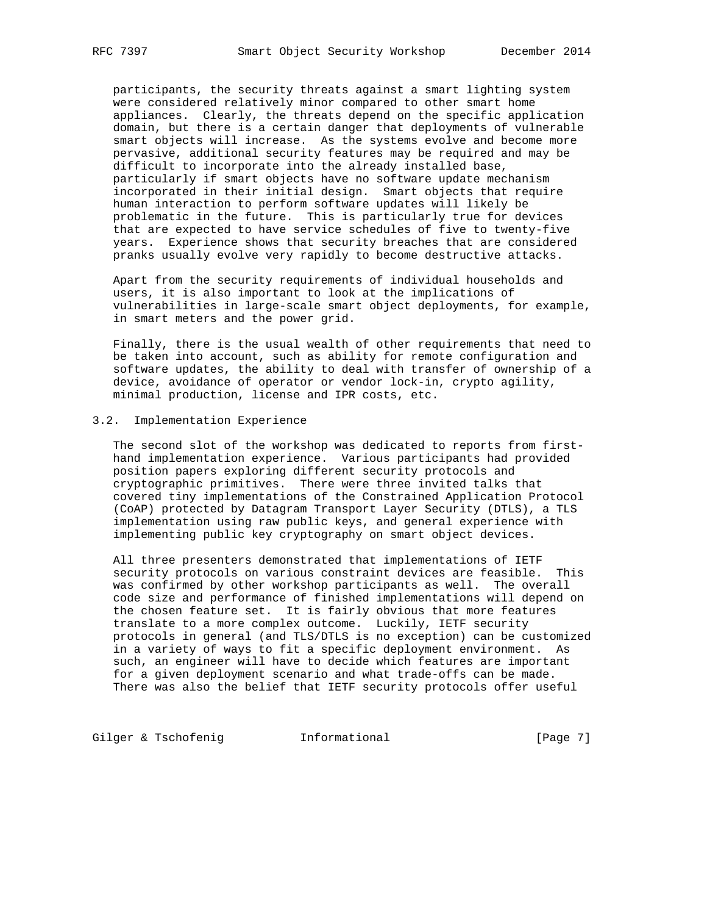participants, the security threats against a smart lighting system were considered relatively minor compared to other smart home appliances. Clearly, the threats depend on the specific application domain, but there is a certain danger that deployments of vulnerable smart objects will increase. As the systems evolve and become more pervasive, additional security features may be required and may be difficult to incorporate into the already installed base, particularly if smart objects have no software update mechanism incorporated in their initial design. Smart objects that require human interaction to perform software updates will likely be problematic in the future. This is particularly true for devices that are expected to have service schedules of five to twenty-five years. Experience shows that security breaches that are considered pranks usually evolve very rapidly to become destructive attacks.

 Apart from the security requirements of individual households and users, it is also important to look at the implications of vulnerabilities in large-scale smart object deployments, for example, in smart meters and the power grid.

 Finally, there is the usual wealth of other requirements that need to be taken into account, such as ability for remote configuration and software updates, the ability to deal with transfer of ownership of a device, avoidance of operator or vendor lock-in, crypto agility, minimal production, license and IPR costs, etc.

## 3.2. Implementation Experience

 The second slot of the workshop was dedicated to reports from first hand implementation experience. Various participants had provided position papers exploring different security protocols and cryptographic primitives. There were three invited talks that covered tiny implementations of the Constrained Application Protocol (CoAP) protected by Datagram Transport Layer Security (DTLS), a TLS implementation using raw public keys, and general experience with implementing public key cryptography on smart object devices.

 All three presenters demonstrated that implementations of IETF security protocols on various constraint devices are feasible. This was confirmed by other workshop participants as well. The overall code size and performance of finished implementations will depend on the chosen feature set. It is fairly obvious that more features translate to a more complex outcome. Luckily, IETF security protocols in general (and TLS/DTLS is no exception) can be customized in a variety of ways to fit a specific deployment environment. As such, an engineer will have to decide which features are important for a given deployment scenario and what trade-offs can be made. There was also the belief that IETF security protocols offer useful

Gilger & Tschofenig **Informational** [Page 7]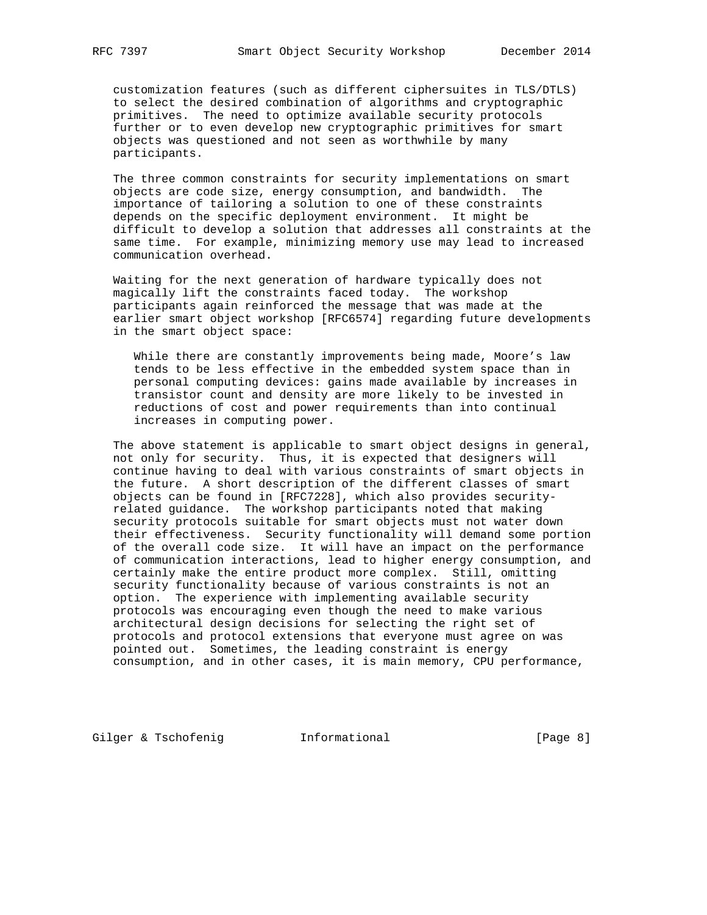customization features (such as different ciphersuites in TLS/DTLS) to select the desired combination of algorithms and cryptographic primitives. The need to optimize available security protocols further or to even develop new cryptographic primitives for smart objects was questioned and not seen as worthwhile by many participants.

 The three common constraints for security implementations on smart objects are code size, energy consumption, and bandwidth. The importance of tailoring a solution to one of these constraints depends on the specific deployment environment. It might be difficult to develop a solution that addresses all constraints at the same time. For example, minimizing memory use may lead to increased communication overhead.

 Waiting for the next generation of hardware typically does not magically lift the constraints faced today. The workshop participants again reinforced the message that was made at the earlier smart object workshop [RFC6574] regarding future developments in the smart object space:

 While there are constantly improvements being made, Moore's law tends to be less effective in the embedded system space than in personal computing devices: gains made available by increases in transistor count and density are more likely to be invested in reductions of cost and power requirements than into continual increases in computing power.

 The above statement is applicable to smart object designs in general, not only for security. Thus, it is expected that designers will continue having to deal with various constraints of smart objects in the future. A short description of the different classes of smart objects can be found in [RFC7228], which also provides security related guidance. The workshop participants noted that making security protocols suitable for smart objects must not water down their effectiveness. Security functionality will demand some portion of the overall code size. It will have an impact on the performance of communication interactions, lead to higher energy consumption, and certainly make the entire product more complex. Still, omitting security functionality because of various constraints is not an option. The experience with implementing available security protocols was encouraging even though the need to make various architectural design decisions for selecting the right set of protocols and protocol extensions that everyone must agree on was pointed out. Sometimes, the leading constraint is energy consumption, and in other cases, it is main memory, CPU performance,

Gilger & Tschofenig **Informational** [Page 8]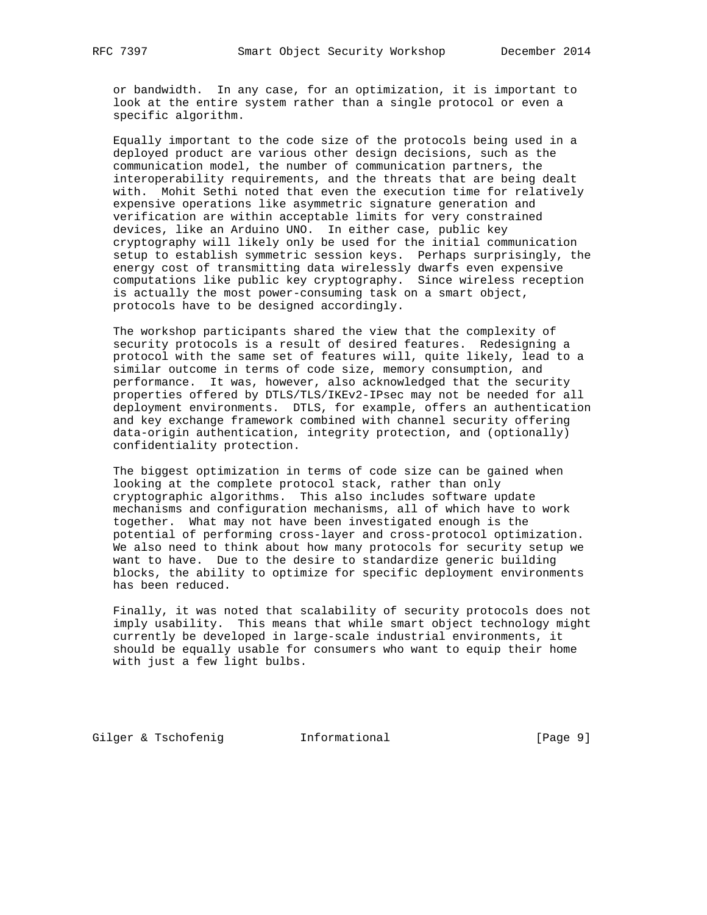or bandwidth. In any case, for an optimization, it is important to look at the entire system rather than a single protocol or even a specific algorithm.

 Equally important to the code size of the protocols being used in a deployed product are various other design decisions, such as the communication model, the number of communication partners, the interoperability requirements, and the threats that are being dealt with. Mohit Sethi noted that even the execution time for relatively expensive operations like asymmetric signature generation and verification are within acceptable limits for very constrained devices, like an Arduino UNO. In either case, public key cryptography will likely only be used for the initial communication setup to establish symmetric session keys. Perhaps surprisingly, the energy cost of transmitting data wirelessly dwarfs even expensive computations like public key cryptography. Since wireless reception is actually the most power-consuming task on a smart object, protocols have to be designed accordingly.

 The workshop participants shared the view that the complexity of security protocols is a result of desired features. Redesigning a protocol with the same set of features will, quite likely, lead to a similar outcome in terms of code size, memory consumption, and performance. It was, however, also acknowledged that the security properties offered by DTLS/TLS/IKEv2-IPsec may not be needed for all deployment environments. DTLS, for example, offers an authentication and key exchange framework combined with channel security offering data-origin authentication, integrity protection, and (optionally) confidentiality protection.

 The biggest optimization in terms of code size can be gained when looking at the complete protocol stack, rather than only cryptographic algorithms. This also includes software update mechanisms and configuration mechanisms, all of which have to work together. What may not have been investigated enough is the potential of performing cross-layer and cross-protocol optimization. We also need to think about how many protocols for security setup we want to have. Due to the desire to standardize generic building blocks, the ability to optimize for specific deployment environments has been reduced.

 Finally, it was noted that scalability of security protocols does not imply usability. This means that while smart object technology might currently be developed in large-scale industrial environments, it should be equally usable for consumers who want to equip their home with just a few light bulbs.

Gilger & Tschofenig  $I_n$  Informational [Page 9]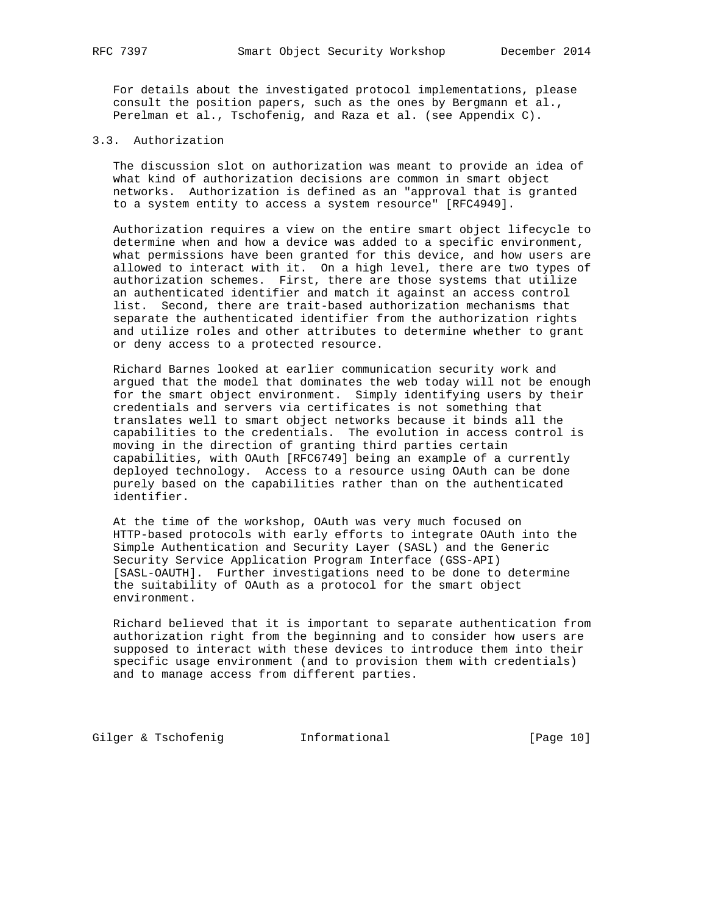For details about the investigated protocol implementations, please consult the position papers, such as the ones by Bergmann et al., Perelman et al., Tschofenig, and Raza et al. (see Appendix C).

### 3.3. Authorization

 The discussion slot on authorization was meant to provide an idea of what kind of authorization decisions are common in smart object networks. Authorization is defined as an "approval that is granted to a system entity to access a system resource" [RFC4949].

 Authorization requires a view on the entire smart object lifecycle to determine when and how a device was added to a specific environment, what permissions have been granted for this device, and how users are allowed to interact with it. On a high level, there are two types of authorization schemes. First, there are those systems that utilize an authenticated identifier and match it against an access control list. Second, there are trait-based authorization mechanisms that separate the authenticated identifier from the authorization rights and utilize roles and other attributes to determine whether to grant or deny access to a protected resource.

 Richard Barnes looked at earlier communication security work and argued that the model that dominates the web today will not be enough for the smart object environment. Simply identifying users by their credentials and servers via certificates is not something that translates well to smart object networks because it binds all the capabilities to the credentials. The evolution in access control is moving in the direction of granting third parties certain capabilities, with OAuth [RFC6749] being an example of a currently deployed technology. Access to a resource using OAuth can be done purely based on the capabilities rather than on the authenticated identifier.

 At the time of the workshop, OAuth was very much focused on HTTP-based protocols with early efforts to integrate OAuth into the Simple Authentication and Security Layer (SASL) and the Generic Security Service Application Program Interface (GSS-API) [SASL-OAUTH]. Further investigations need to be done to determine the suitability of OAuth as a protocol for the smart object environment.

 Richard believed that it is important to separate authentication from authorization right from the beginning and to consider how users are supposed to interact with these devices to introduce them into their specific usage environment (and to provision them with credentials) and to manage access from different parties.

Gilger & Tschofenig **Informational** [Page 10]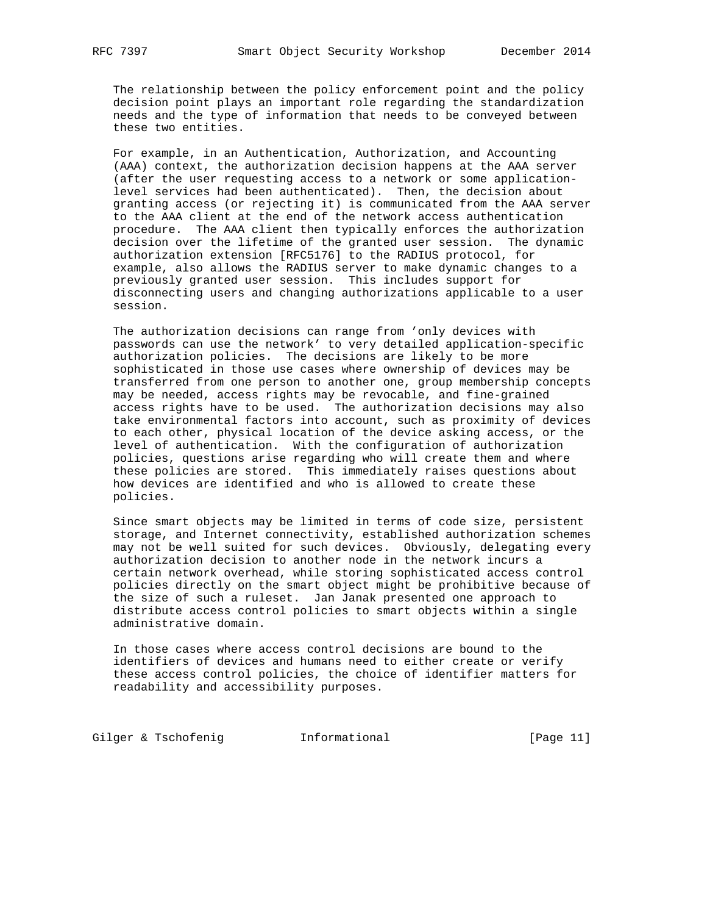The relationship between the policy enforcement point and the policy decision point plays an important role regarding the standardization needs and the type of information that needs to be conveyed between these two entities.

 For example, in an Authentication, Authorization, and Accounting (AAA) context, the authorization decision happens at the AAA server (after the user requesting access to a network or some application level services had been authenticated). Then, the decision about granting access (or rejecting it) is communicated from the AAA server to the AAA client at the end of the network access authentication procedure. The AAA client then typically enforces the authorization decision over the lifetime of the granted user session. The dynamic authorization extension [RFC5176] to the RADIUS protocol, for example, also allows the RADIUS server to make dynamic changes to a previously granted user session. This includes support for disconnecting users and changing authorizations applicable to a user session.

 The authorization decisions can range from 'only devices with passwords can use the network' to very detailed application-specific authorization policies. The decisions are likely to be more sophisticated in those use cases where ownership of devices may be transferred from one person to another one, group membership concepts may be needed, access rights may be revocable, and fine-grained access rights have to be used. The authorization decisions may also take environmental factors into account, such as proximity of devices to each other, physical location of the device asking access, or the level of authentication. With the configuration of authorization policies, questions arise regarding who will create them and where these policies are stored. This immediately raises questions about how devices are identified and who is allowed to create these policies.

 Since smart objects may be limited in terms of code size, persistent storage, and Internet connectivity, established authorization schemes may not be well suited for such devices. Obviously, delegating every authorization decision to another node in the network incurs a certain network overhead, while storing sophisticated access control policies directly on the smart object might be prohibitive because of the size of such a ruleset. Jan Janak presented one approach to distribute access control policies to smart objects within a single administrative domain.

 In those cases where access control decisions are bound to the identifiers of devices and humans need to either create or verify these access control policies, the choice of identifier matters for readability and accessibility purposes.

Gilger & Tschofenig **Informational** [Page 11]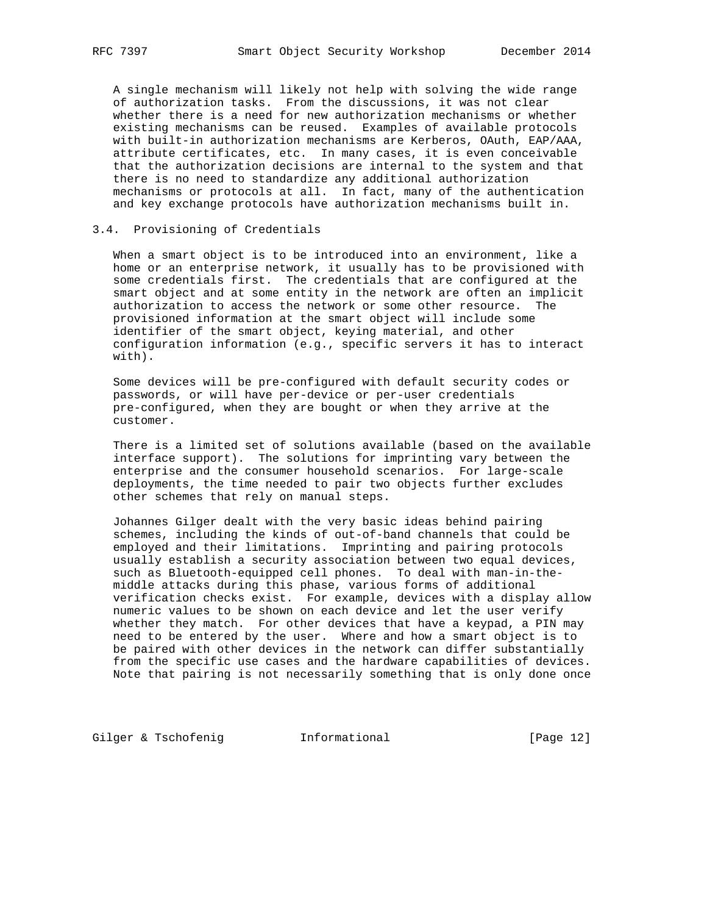A single mechanism will likely not help with solving the wide range of authorization tasks. From the discussions, it was not clear whether there is a need for new authorization mechanisms or whether existing mechanisms can be reused. Examples of available protocols with built-in authorization mechanisms are Kerberos, OAuth, EAP/AAA, attribute certificates, etc. In many cases, it is even conceivable that the authorization decisions are internal to the system and that there is no need to standardize any additional authorization mechanisms or protocols at all. In fact, many of the authentication and key exchange protocols have authorization mechanisms built in.

### 3.4. Provisioning of Credentials

 When a smart object is to be introduced into an environment, like a home or an enterprise network, it usually has to be provisioned with some credentials first. The credentials that are configured at the smart object and at some entity in the network are often an implicit authorization to access the network or some other resource. The provisioned information at the smart object will include some identifier of the smart object, keying material, and other configuration information (e.g., specific servers it has to interact with).

 Some devices will be pre-configured with default security codes or passwords, or will have per-device or per-user credentials pre-configured, when they are bought or when they arrive at the customer.

 There is a limited set of solutions available (based on the available interface support). The solutions for imprinting vary between the enterprise and the consumer household scenarios. For large-scale deployments, the time needed to pair two objects further excludes other schemes that rely on manual steps.

 Johannes Gilger dealt with the very basic ideas behind pairing schemes, including the kinds of out-of-band channels that could be employed and their limitations. Imprinting and pairing protocols usually establish a security association between two equal devices, such as Bluetooth-equipped cell phones. To deal with man-in-the middle attacks during this phase, various forms of additional verification checks exist. For example, devices with a display allow numeric values to be shown on each device and let the user verify whether they match. For other devices that have a keypad, a PIN may need to be entered by the user. Where and how a smart object is to be paired with other devices in the network can differ substantially from the specific use cases and the hardware capabilities of devices. Note that pairing is not necessarily something that is only done once

Gilger & Tschofenig **Informational** [Page 12]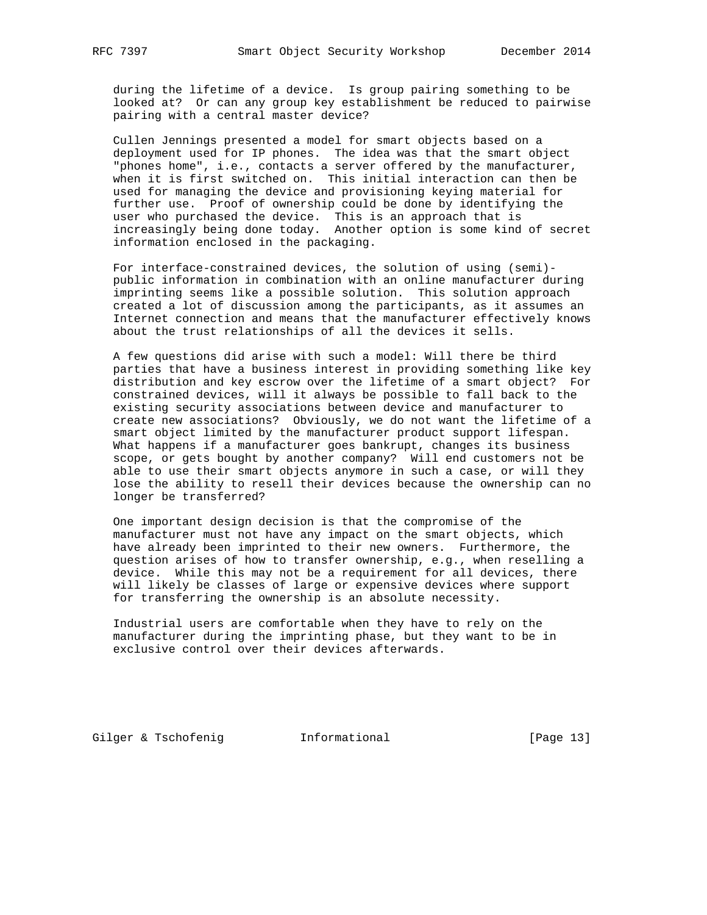during the lifetime of a device. Is group pairing something to be looked at? Or can any group key establishment be reduced to pairwise pairing with a central master device?

 Cullen Jennings presented a model for smart objects based on a deployment used for IP phones. The idea was that the smart object "phones home", i.e., contacts a server offered by the manufacturer, when it is first switched on. This initial interaction can then be used for managing the device and provisioning keying material for further use. Proof of ownership could be done by identifying the user who purchased the device. This is an approach that is increasingly being done today. Another option is some kind of secret information enclosed in the packaging.

 For interface-constrained devices, the solution of using (semi) public information in combination with an online manufacturer during imprinting seems like a possible solution. This solution approach created a lot of discussion among the participants, as it assumes an Internet connection and means that the manufacturer effectively knows about the trust relationships of all the devices it sells.

 A few questions did arise with such a model: Will there be third parties that have a business interest in providing something like key distribution and key escrow over the lifetime of a smart object? For constrained devices, will it always be possible to fall back to the existing security associations between device and manufacturer to create new associations? Obviously, we do not want the lifetime of a smart object limited by the manufacturer product support lifespan. What happens if a manufacturer goes bankrupt, changes its business scope, or gets bought by another company? Will end customers not be able to use their smart objects anymore in such a case, or will they lose the ability to resell their devices because the ownership can no longer be transferred?

 One important design decision is that the compromise of the manufacturer must not have any impact on the smart objects, which have already been imprinted to their new owners. Furthermore, the question arises of how to transfer ownership, e.g., when reselling a device. While this may not be a requirement for all devices, there will likely be classes of large or expensive devices where support for transferring the ownership is an absolute necessity.

 Industrial users are comfortable when they have to rely on the manufacturer during the imprinting phase, but they want to be in exclusive control over their devices afterwards.

Gilger & Tschofenig **Informational** [Page 13]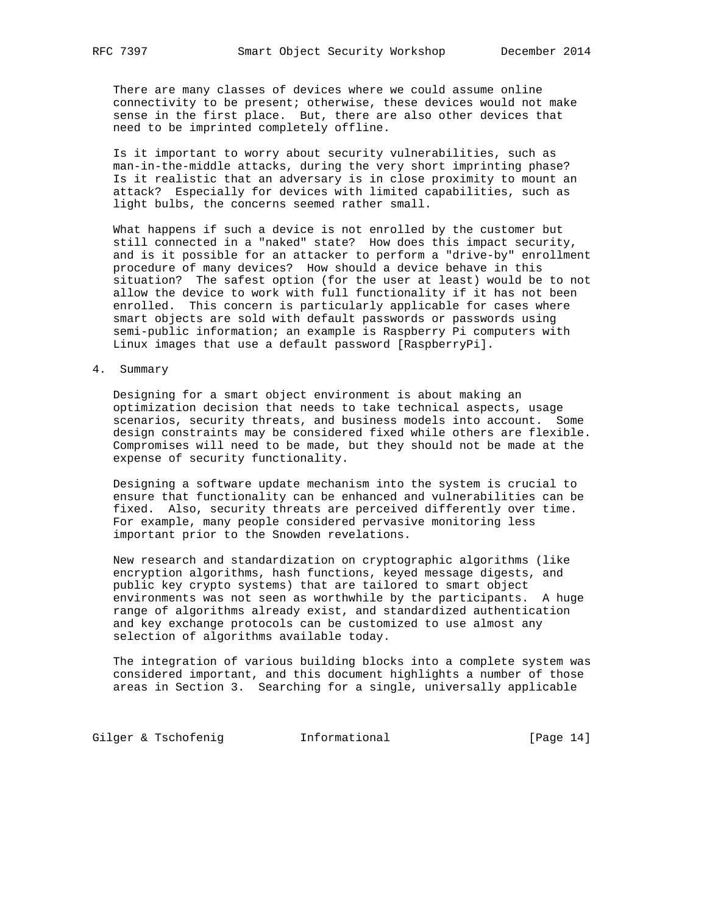There are many classes of devices where we could assume online connectivity to be present; otherwise, these devices would not make sense in the first place. But, there are also other devices that need to be imprinted completely offline.

 Is it important to worry about security vulnerabilities, such as man-in-the-middle attacks, during the very short imprinting phase? Is it realistic that an adversary is in close proximity to mount an attack? Especially for devices with limited capabilities, such as light bulbs, the concerns seemed rather small.

 What happens if such a device is not enrolled by the customer but still connected in a "naked" state? How does this impact security, and is it possible for an attacker to perform a "drive-by" enrollment procedure of many devices? How should a device behave in this situation? The safest option (for the user at least) would be to not allow the device to work with full functionality if it has not been enrolled. This concern is particularly applicable for cases where smart objects are sold with default passwords or passwords using semi-public information; an example is Raspberry Pi computers with Linux images that use a default password [RaspberryPi].

4. Summary

 Designing for a smart object environment is about making an optimization decision that needs to take technical aspects, usage scenarios, security threats, and business models into account. Some design constraints may be considered fixed while others are flexible. Compromises will need to be made, but they should not be made at the expense of security functionality.

 Designing a software update mechanism into the system is crucial to ensure that functionality can be enhanced and vulnerabilities can be fixed. Also, security threats are perceived differently over time. For example, many people considered pervasive monitoring less important prior to the Snowden revelations.

 New research and standardization on cryptographic algorithms (like encryption algorithms, hash functions, keyed message digests, and public key crypto systems) that are tailored to smart object environments was not seen as worthwhile by the participants. A huge range of algorithms already exist, and standardized authentication and key exchange protocols can be customized to use almost any selection of algorithms available today.

 The integration of various building blocks into a complete system was considered important, and this document highlights a number of those areas in Section 3. Searching for a single, universally applicable

Gilger & Tschofenig **Informational** [Page 14]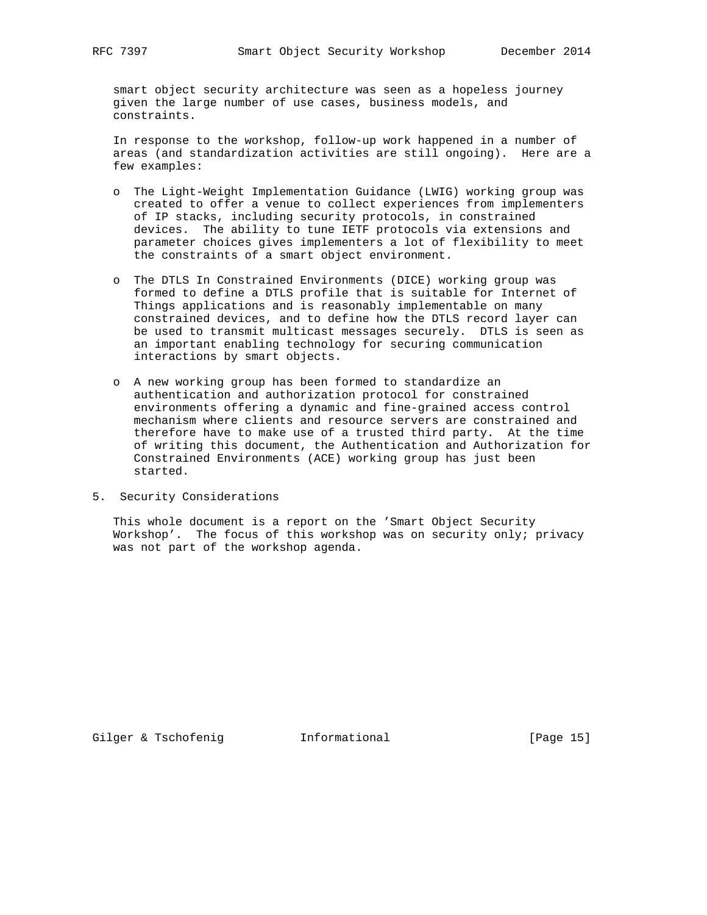smart object security architecture was seen as a hopeless journey given the large number of use cases, business models, and constraints.

 In response to the workshop, follow-up work happened in a number of areas (and standardization activities are still ongoing). Here are a few examples:

- o The Light-Weight Implementation Guidance (LWIG) working group was created to offer a venue to collect experiences from implementers of IP stacks, including security protocols, in constrained devices. The ability to tune IETF protocols via extensions and parameter choices gives implementers a lot of flexibility to meet the constraints of a smart object environment.
- o The DTLS In Constrained Environments (DICE) working group was formed to define a DTLS profile that is suitable for Internet of Things applications and is reasonably implementable on many constrained devices, and to define how the DTLS record layer can be used to transmit multicast messages securely. DTLS is seen as an important enabling technology for securing communication interactions by smart objects.
- o A new working group has been formed to standardize an authentication and authorization protocol for constrained environments offering a dynamic and fine-grained access control mechanism where clients and resource servers are constrained and therefore have to make use of a trusted third party. At the time of writing this document, the Authentication and Authorization for Constrained Environments (ACE) working group has just been started.
- 5. Security Considerations

 This whole document is a report on the 'Smart Object Security Workshop'. The focus of this workshop was on security only; privacy was not part of the workshop agenda.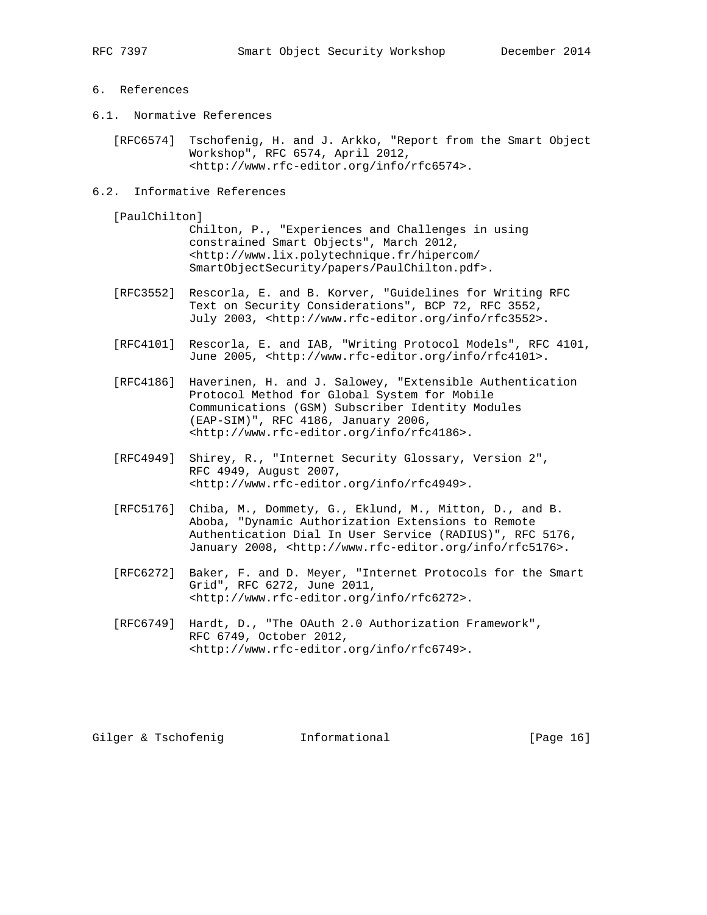## 6. References

6.1. Normative References

 [RFC6574] Tschofenig, H. and J. Arkko, "Report from the Smart Object Workshop", RFC 6574, April 2012, <http://www.rfc-editor.org/info/rfc6574>.

6.2. Informative References

[PaulChilton]

 Chilton, P., "Experiences and Challenges in using constrained Smart Objects", March 2012, <http://www.lix.polytechnique.fr/hipercom/ SmartObjectSecurity/papers/PaulChilton.pdf>.

- [RFC3552] Rescorla, E. and B. Korver, "Guidelines for Writing RFC Text on Security Considerations", BCP 72, RFC 3552, July 2003, <http://www.rfc-editor.org/info/rfc3552>.
- [RFC4101] Rescorla, E. and IAB, "Writing Protocol Models", RFC 4101, June 2005, <http://www.rfc-editor.org/info/rfc4101>.
- [RFC4186] Haverinen, H. and J. Salowey, "Extensible Authentication Protocol Method for Global System for Mobile Communications (GSM) Subscriber Identity Modules (EAP-SIM)", RFC 4186, January 2006, <http://www.rfc-editor.org/info/rfc4186>.
- [RFC4949] Shirey, R., "Internet Security Glossary, Version 2", RFC 4949, August 2007, <http://www.rfc-editor.org/info/rfc4949>.
- [RFC5176] Chiba, M., Dommety, G., Eklund, M., Mitton, D., and B. Aboba, "Dynamic Authorization Extensions to Remote Authentication Dial In User Service (RADIUS)", RFC 5176, January 2008, <http://www.rfc-editor.org/info/rfc5176>.
- [RFC6272] Baker, F. and D. Meyer, "Internet Protocols for the Smart Grid", RFC 6272, June 2011, <http://www.rfc-editor.org/info/rfc6272>.
- [RFC6749] Hardt, D., "The OAuth 2.0 Authorization Framework", RFC 6749, October 2012, <http://www.rfc-editor.org/info/rfc6749>.

Gilger & Tschofenig **Informational** [Page 16]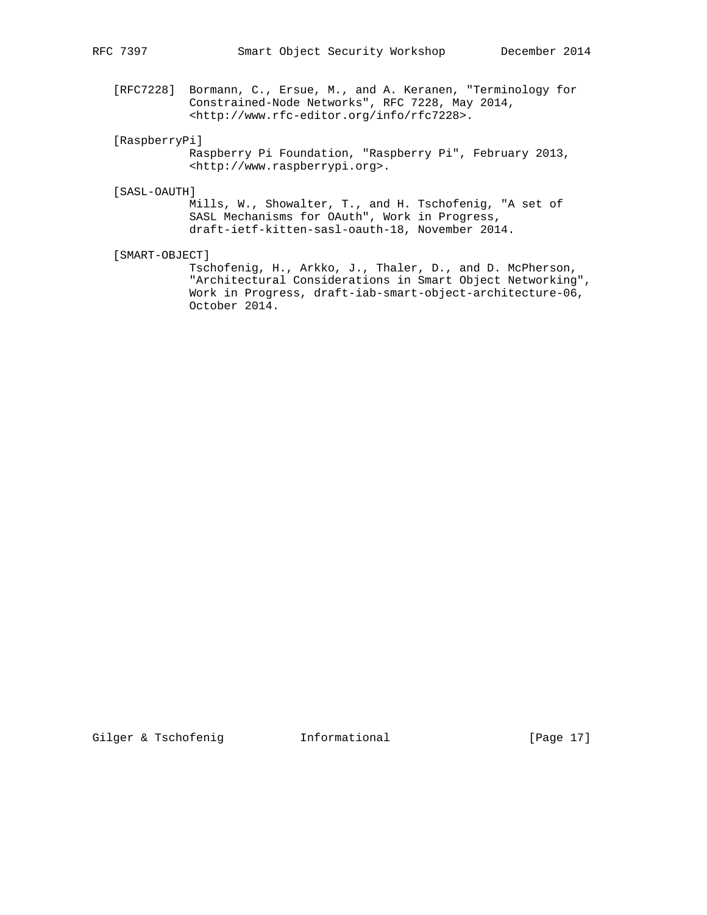[RFC7228] Bormann, C., Ersue, M., and A. Keranen, "Terminology for Constrained-Node Networks", RFC 7228, May 2014, <http://www.rfc-editor.org/info/rfc7228>.

[RaspberryPi]

 Raspberry Pi Foundation, "Raspberry Pi", February 2013, <http://www.raspberrypi.org>.

#### [SASL-OAUTH]

 Mills, W., Showalter, T., and H. Tschofenig, "A set of SASL Mechanisms for OAuth", Work in Progress, draft-ietf-kitten-sasl-oauth-18, November 2014.

[SMART-OBJECT]

 Tschofenig, H., Arkko, J., Thaler, D., and D. McPherson, "Architectural Considerations in Smart Object Networking", Work in Progress, draft-iab-smart-object-architecture-06, October 2014.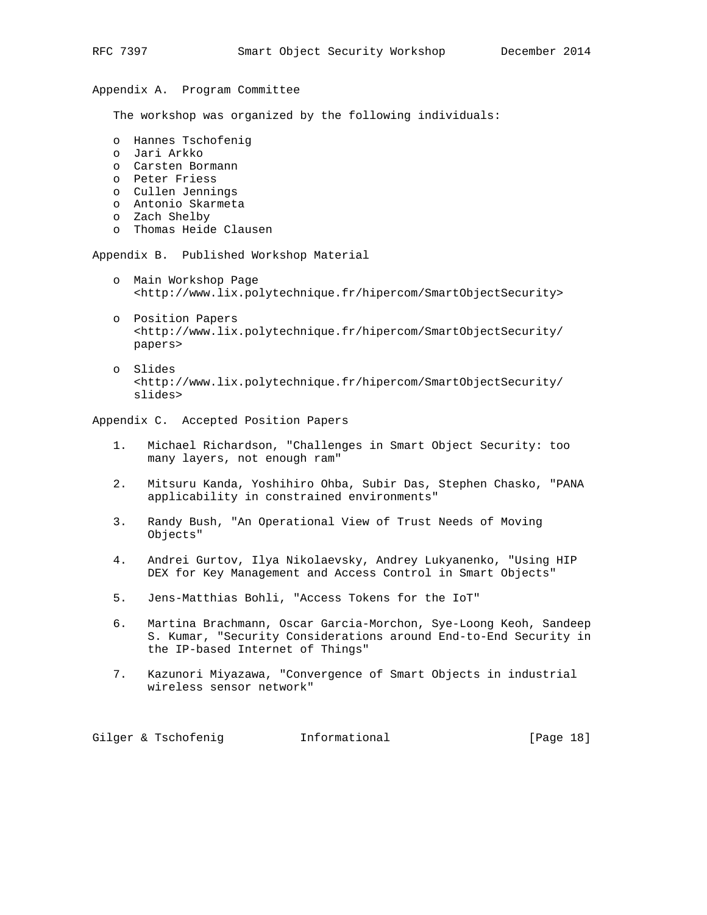## Appendix A. Program Committee

The workshop was organized by the following individuals:

- o Hannes Tschofenig
- o Jari Arkko
- o Carsten Bormann
- o Peter Friess
- o Cullen Jennings
- o Antonio Skarmeta
- o Zach Shelby
- o Thomas Heide Clausen

Appendix B. Published Workshop Material

- o Main Workshop Page <http://www.lix.polytechnique.fr/hipercom/SmartObjectSecurity>
- o Position Papers <http://www.lix.polytechnique.fr/hipercom/SmartObjectSecurity/ papers>
- o Slides <http://www.lix.polytechnique.fr/hipercom/SmartObjectSecurity/ slides>

Appendix C. Accepted Position Papers

- 1. Michael Richardson, "Challenges in Smart Object Security: too many layers, not enough ram"
- 2. Mitsuru Kanda, Yoshihiro Ohba, Subir Das, Stephen Chasko, "PANA applicability in constrained environments"
- 3. Randy Bush, "An Operational View of Trust Needs of Moving Objects"
- 4. Andrei Gurtov, Ilya Nikolaevsky, Andrey Lukyanenko, "Using HIP DEX for Key Management and Access Control in Smart Objects"
- 5. Jens-Matthias Bohli, "Access Tokens for the IoT"
- 6. Martina Brachmann, Oscar Garcia-Morchon, Sye-Loong Keoh, Sandeep S. Kumar, "Security Considerations around End-to-End Security in the IP-based Internet of Things"
- 7. Kazunori Miyazawa, "Convergence of Smart Objects in industrial wireless sensor network"

Gilger & Tschofenig  $I_n$  Informational [Page 18]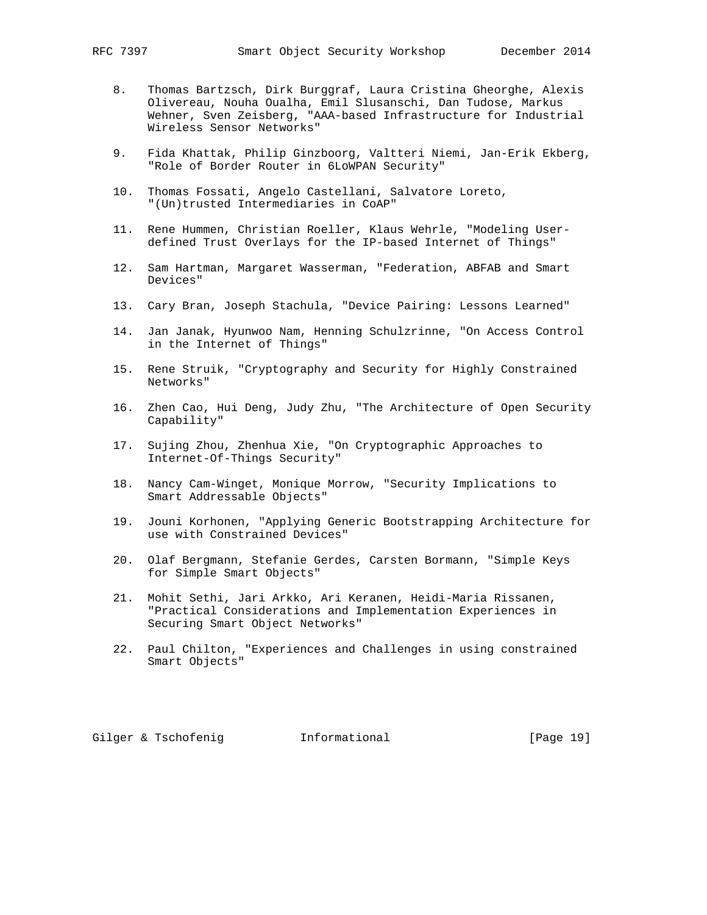- 8. Thomas Bartzsch, Dirk Burggraf, Laura Cristina Gheorghe, Alexis Olivereau, Nouha Oualha, Emil Slusanschi, Dan Tudose, Markus Wehner, Sven Zeisberg, "AAA-based Infrastructure for Industrial Wireless Sensor Networks"
- 9. Fida Khattak, Philip Ginzboorg, Valtteri Niemi, Jan-Erik Ekberg, "Role of Border Router in 6LoWPAN Security"
- 10. Thomas Fossati, Angelo Castellani, Salvatore Loreto, "(Un)trusted Intermediaries in CoAP"
- 11. Rene Hummen, Christian Roeller, Klaus Wehrle, "Modeling User defined Trust Overlays for the IP-based Internet of Things"
- 12. Sam Hartman, Margaret Wasserman, "Federation, ABFAB and Smart Devices"
- 13. Cary Bran, Joseph Stachula, "Device Pairing: Lessons Learned"
- 14. Jan Janak, Hyunwoo Nam, Henning Schulzrinne, "On Access Control in the Internet of Things"
- 15. Rene Struik, "Cryptography and Security for Highly Constrained Networks"
- 16. Zhen Cao, Hui Deng, Judy Zhu, "The Architecture of Open Security Capability"
- 17. Sujing Zhou, Zhenhua Xie, "On Cryptographic Approaches to Internet-Of-Things Security"
- 18. Nancy Cam-Winget, Monique Morrow, "Security Implications to Smart Addressable Objects"
- 19. Jouni Korhonen, "Applying Generic Bootstrapping Architecture for use with Constrained Devices"
- 20. Olaf Bergmann, Stefanie Gerdes, Carsten Bormann, "Simple Keys for Simple Smart Objects"
- 21. Mohit Sethi, Jari Arkko, Ari Keranen, Heidi-Maria Rissanen, "Practical Considerations and Implementation Experiences in Securing Smart Object Networks"
- 22. Paul Chilton, "Experiences and Challenges in using constrained Smart Objects"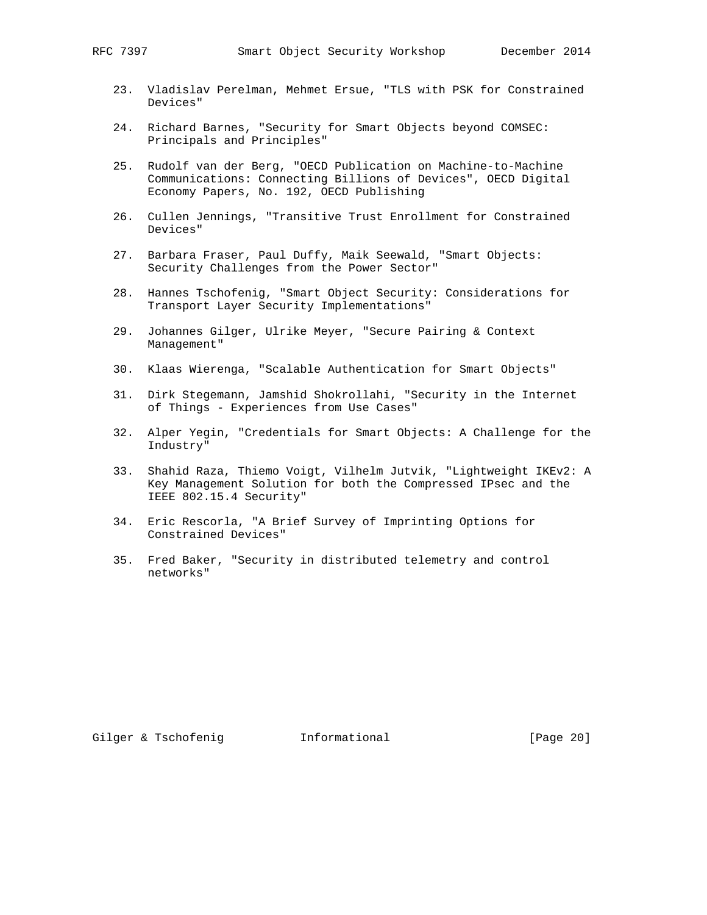- 23. Vladislav Perelman, Mehmet Ersue, "TLS with PSK for Constrained Devices"
- 24. Richard Barnes, "Security for Smart Objects beyond COMSEC: Principals and Principles"
- 25. Rudolf van der Berg, "OECD Publication on Machine-to-Machine Communications: Connecting Billions of Devices", OECD Digital Economy Papers, No. 192, OECD Publishing
- 26. Cullen Jennings, "Transitive Trust Enrollment for Constrained Devices"
- 27. Barbara Fraser, Paul Duffy, Maik Seewald, "Smart Objects: Security Challenges from the Power Sector"
- 28. Hannes Tschofenig, "Smart Object Security: Considerations for Transport Layer Security Implementations"
- 29. Johannes Gilger, Ulrike Meyer, "Secure Pairing & Context Management"
- 30. Klaas Wierenga, "Scalable Authentication for Smart Objects"
- 31. Dirk Stegemann, Jamshid Shokrollahi, "Security in the Internet of Things - Experiences from Use Cases"
- 32. Alper Yegin, "Credentials for Smart Objects: A Challenge for the Industry"
- 33. Shahid Raza, Thiemo Voigt, Vilhelm Jutvik, "Lightweight IKEv2: A Key Management Solution for both the Compressed IPsec and the IEEE 802.15.4 Security"
- 34. Eric Rescorla, "A Brief Survey of Imprinting Options for Constrained Devices"
- 35. Fred Baker, "Security in distributed telemetry and control networks"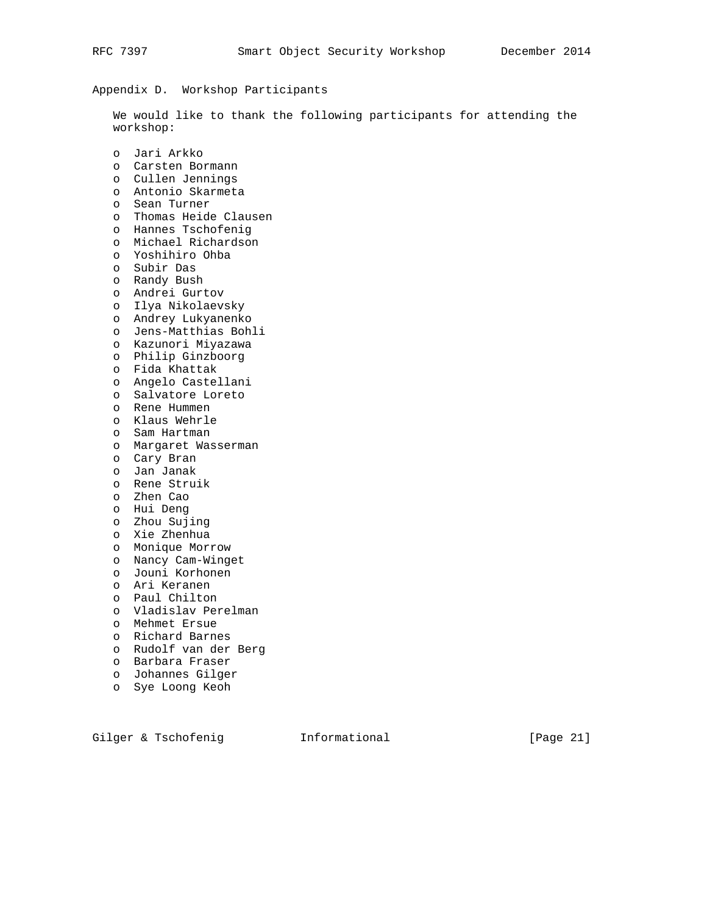# Appendix D. Workshop Participants

 We would like to thank the following participants for attending the workshop:

 o Jari Arkko o Carsten Bormann o Cullen Jennings o Antonio Skarmeta o Sean Turner o Thomas Heide Clausen o Hannes Tschofenig o Michael Richardson o Yoshihiro Ohba o Subir Das o Randy Bush o Andrei Gurtov o Ilya Nikolaevsky o Andrey Lukyanenko o Jens-Matthias Bohli o Kazunori Miyazawa o Philip Ginzboorg o Fida Khattak o Angelo Castellani o Salvatore Loreto o Rene Hummen o Klaus Wehrle o Sam Hartman o Margaret Wasserman o Cary Bran o Jan Janak o Rene Struik o Zhen Cao o Hui Deng o Zhou Sujing o Xie Zhenhua o Monique Morrow o Nancy Cam-Winget o Jouni Korhonen o Ari Keranen o Paul Chilton o Vladislav Perelman o Mehmet Ersue o Richard Barnes o Rudolf van der Berg o Barbara Fraser o Johannes Gilger o Sye Loong Keoh

Gilger & Tschofenig  $I_n$  Informational [Page 21]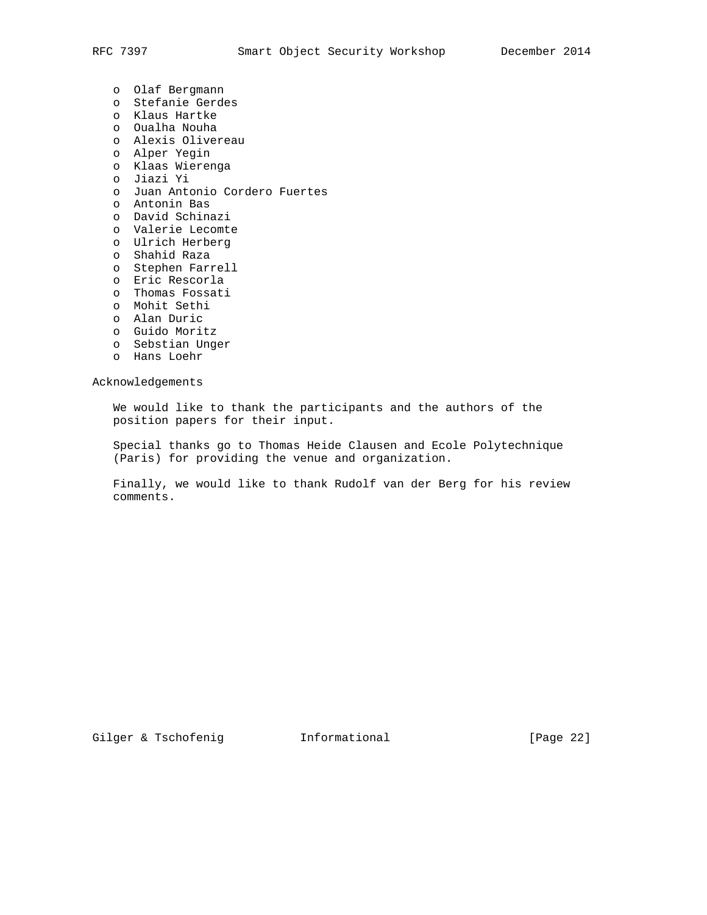- o Olaf Bergmann
- o Stefanie Gerdes
- o Klaus Hartke
	- o Oualha Nouha
	- o Alexis Olivereau
	- o Alper Yegin
	- o Klaas Wierenga
	- o Jiazi Yi
	- o Juan Antonio Cordero Fuertes
	- o Antonin Bas
	- o David Schinazi
	- o Valerie Lecomte
	- o Ulrich Herberg
- o Shahid Raza
- o Stephen Farrell
- o Eric Rescorla
	- o Thomas Fossati
	- o Mohit Sethi
	- o Alan Duric
	- o Guido Moritz
	- o Sebstian Unger
	- o Hans Loehr

Acknowledgements

 We would like to thank the participants and the authors of the position papers for their input.

 Special thanks go to Thomas Heide Clausen and Ecole Polytechnique (Paris) for providing the venue and organization.

 Finally, we would like to thank Rudolf van der Berg for his review comments.